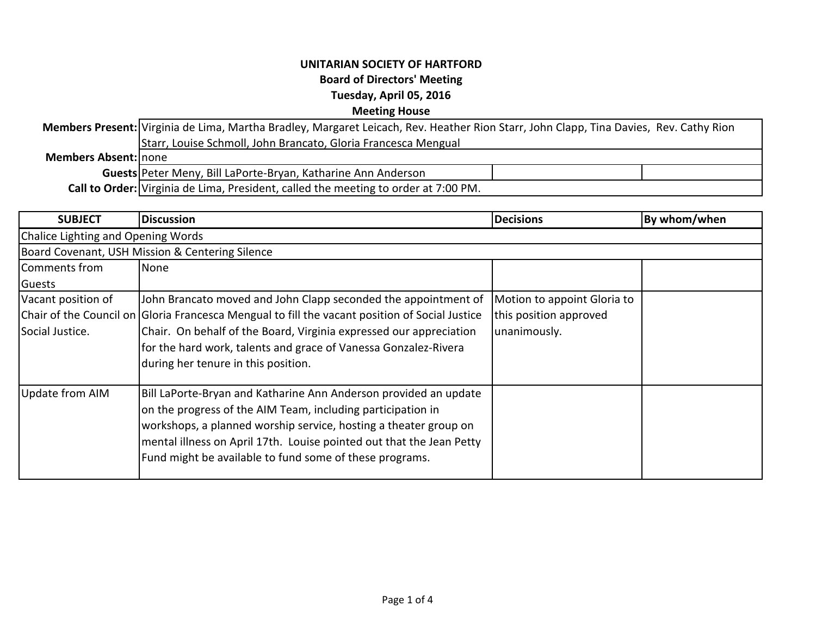## **UNITARIAN SOCIETY OF HARTFORD Board of Directors' Meeting Tuesday, April 05, 2016 Meeting House**

**Members Present:** Virginia de Lima, Martha Bradley, Margaret Leicach, Rev. Heather Rion Starr, John Clapp, Tina Davies, Rev. Cathy Rion **Members Absent:** none **Guests** Peter Meny, Bill LaPorte-Bryan, Katharine Ann Anderson **Call to Order:** Virginia de Lima, President, called the meeting to order at 7:00 PM. Starr, Louise Schmoll, John Brancato, Gloria Francesca Mengual

| <b>SUBJECT</b>                                  | <b>Discussion</b>                                                                                                                                                                                                                                                                                                                                | <b>Decisions</b>                                                      | By whom/when |  |  |
|-------------------------------------------------|--------------------------------------------------------------------------------------------------------------------------------------------------------------------------------------------------------------------------------------------------------------------------------------------------------------------------------------------------|-----------------------------------------------------------------------|--------------|--|--|
| Chalice Lighting and Opening Words              |                                                                                                                                                                                                                                                                                                                                                  |                                                                       |              |  |  |
| Board Covenant, USH Mission & Centering Silence |                                                                                                                                                                                                                                                                                                                                                  |                                                                       |              |  |  |
| Comments from                                   | None                                                                                                                                                                                                                                                                                                                                             |                                                                       |              |  |  |
| Guests                                          |                                                                                                                                                                                                                                                                                                                                                  |                                                                       |              |  |  |
| Vacant position of<br>Social Justice.           | John Brancato moved and John Clapp seconded the appointment of<br>Chair of the Council on Gloria Francesca Mengual to fill the vacant position of Social Justice<br>Chair. On behalf of the Board, Virginia expressed our appreciation<br>for the hard work, talents and grace of Vanessa Gonzalez-Rivera<br>during her tenure in this position. | Motion to appoint Gloria to<br>this position approved<br>unanimously. |              |  |  |
| Update from AIM                                 | Bill LaPorte-Bryan and Katharine Ann Anderson provided an update<br>on the progress of the AIM Team, including participation in<br>workshops, a planned worship service, hosting a theater group on<br>mental illness on April 17th. Louise pointed out that the Jean Petty<br>Fund might be available to fund some of these programs.           |                                                                       |              |  |  |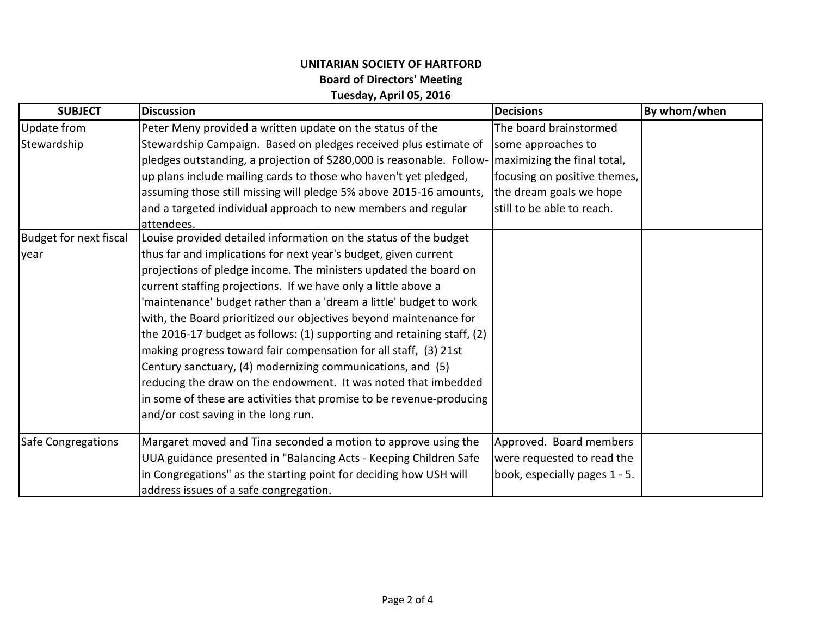## **UNITARIAN SOCIETY OF HARTFORD Board of Directors' Meeting Tuesday, April 05, 2016**

| <b>SUBJECT</b>                | <b>Discussion</b>                                                      | <b>Decisions</b>              | By whom/when |
|-------------------------------|------------------------------------------------------------------------|-------------------------------|--------------|
| Update from                   | Peter Meny provided a written update on the status of the              | The board brainstormed        |              |
| Stewardship                   | Stewardship Campaign. Based on pledges received plus estimate of       | some approaches to            |              |
|                               | pledges outstanding, a projection of \$280,000 is reasonable. Follow-  | maximizing the final total,   |              |
|                               | up plans include mailing cards to those who haven't yet pledged,       | focusing on positive themes,  |              |
|                               | assuming those still missing will pledge 5% above 2015-16 amounts,     | the dream goals we hope       |              |
|                               | and a targeted individual approach to new members and regular          | still to be able to reach.    |              |
|                               | attendees.                                                             |                               |              |
| <b>Budget for next fiscal</b> | Louise provided detailed information on the status of the budget       |                               |              |
| year                          | thus far and implications for next year's budget, given current        |                               |              |
|                               | projections of pledge income. The ministers updated the board on       |                               |              |
|                               | current staffing projections. If we have only a little above a         |                               |              |
|                               | 'maintenance' budget rather than a 'dream a little' budget to work     |                               |              |
|                               | with, the Board prioritized our objectives beyond maintenance for      |                               |              |
|                               | the 2016-17 budget as follows: (1) supporting and retaining staff, (2) |                               |              |
|                               | making progress toward fair compensation for all staff, (3) 21st       |                               |              |
|                               | Century sanctuary, (4) modernizing communications, and (5)             |                               |              |
|                               | reducing the draw on the endowment. It was noted that imbedded         |                               |              |
|                               | in some of these are activities that promise to be revenue-producing   |                               |              |
|                               | and/or cost saving in the long run.                                    |                               |              |
| Safe Congregations            | Margaret moved and Tina seconded a motion to approve using the         | Approved. Board members       |              |
|                               | UUA guidance presented in "Balancing Acts - Keeping Children Safe      | were requested to read the    |              |
|                               | in Congregations" as the starting point for deciding how USH will      | book, especially pages 1 - 5. |              |
|                               | address issues of a safe congregation.                                 |                               |              |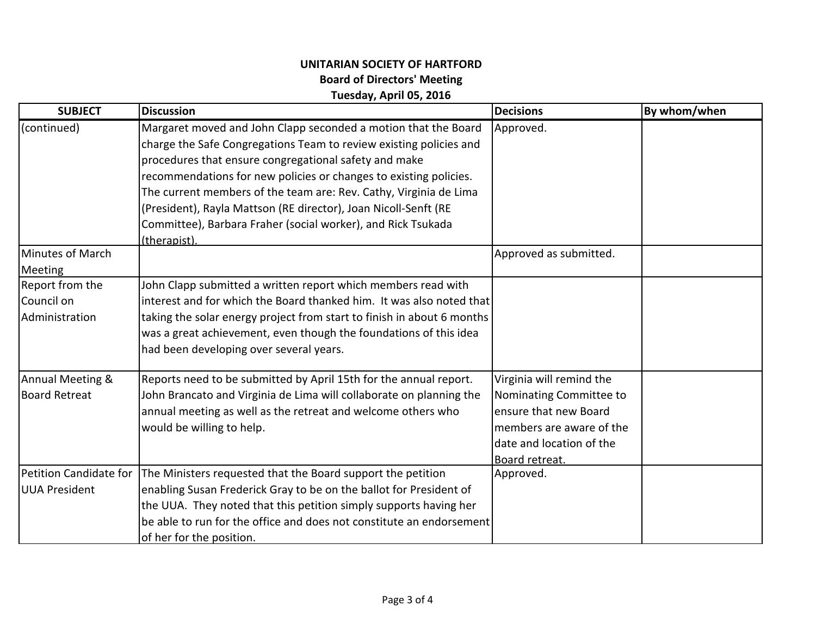## **UNITARIAN SOCIETY OF HARTFORD Board of Directors' Meeting Tuesday, April 05, 2016**

| <b>SUBJECT</b>                                  | <b>Discussion</b>                                                                                                                                                                                                                                                                                                                                                                                                                                                                          | <b>Decisions</b>                                                                                                                                       | By whom/when |
|-------------------------------------------------|--------------------------------------------------------------------------------------------------------------------------------------------------------------------------------------------------------------------------------------------------------------------------------------------------------------------------------------------------------------------------------------------------------------------------------------------------------------------------------------------|--------------------------------------------------------------------------------------------------------------------------------------------------------|--------------|
| (continued)                                     | Margaret moved and John Clapp seconded a motion that the Board<br>charge the Safe Congregations Team to review existing policies and<br>procedures that ensure congregational safety and make<br>recommendations for new policies or changes to existing policies.<br>The current members of the team are: Rev. Cathy, Virginia de Lima<br>(President), Rayla Mattson (RE director), Joan Nicoll-Senft (RE<br>Committee), Barbara Fraher (social worker), and Rick Tsukada<br>(therapist). | Approved.                                                                                                                                              |              |
| Minutes of March<br><b>Meeting</b>              |                                                                                                                                                                                                                                                                                                                                                                                                                                                                                            | Approved as submitted.                                                                                                                                 |              |
| Report from the<br>Council on<br>Administration | John Clapp submitted a written report which members read with<br>interest and for which the Board thanked him. It was also noted that<br>taking the solar energy project from start to finish in about 6 months<br>was a great achievement, even though the foundations of this idea<br>had been developing over several years.                                                                                                                                                            |                                                                                                                                                        |              |
| Annual Meeting &<br>Board Retreat               | Reports need to be submitted by April 15th for the annual report.<br>John Brancato and Virginia de Lima will collaborate on planning the<br>annual meeting as well as the retreat and welcome others who<br>would be willing to help.                                                                                                                                                                                                                                                      | Virginia will remind the<br>Nominating Committee to<br>ensure that new Board<br>members are aware of the<br>date and location of the<br>Board retreat. |              |
| Petition Candidate for<br>UUA President         | The Ministers requested that the Board support the petition<br>enabling Susan Frederick Gray to be on the ballot for President of<br>the UUA. They noted that this petition simply supports having her<br>be able to run for the office and does not constitute an endorsement<br>of her for the position.                                                                                                                                                                                 | Approved.                                                                                                                                              |              |